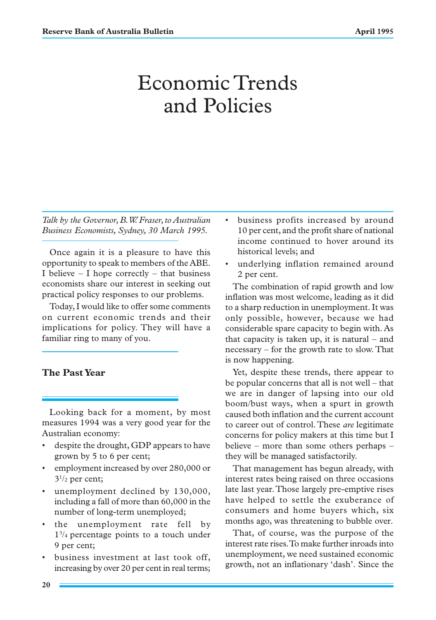# Economic Trends and Policies

*Talk by the Governor, B.W. Fraser, to Australian Business Economists, Sydney, 30 March 1995.*

Once again it is a pleasure to have this opportunity to speak to members of the ABE. I believe  $-$  I hope correctly  $-$  that business economists share our interest in seeking out practical policy responses to our problems.

Today, I would like to offer some comments on current economic trends and their implications for policy. They will have a familiar ring to many of you.

## **The Past Year**

Looking back for a moment, by most measures 1994 was a very good year for the Australian economy:

- despite the drought, GDP appears to have grown by 5 to 6 per cent;
- employment increased by over 280,000 or  $3^{1/2}$  per cent;
- unemployment declined by 130,000, including a fall of more than 60,000 in the number of long-term unemployed;
- the unemployment rate fell by 13 /4 percentage points to a touch under 9 per cent;
- business investment at last took off, increasing by over 20 per cent in real terms;
- business profits increased by around 10 per cent, and the profit share of national income continued to hover around its historical levels; and
- underlying inflation remained around 2 per cent.

The combination of rapid growth and low inflation was most welcome, leading as it did to a sharp reduction in unemployment. It was only possible, however, because we had considerable spare capacity to begin with. As that capacity is taken up, it is natural – and necessary – for the growth rate to slow. That is now happening.

Yet, despite these trends, there appear to be popular concerns that all is not well – that we are in danger of lapsing into our old boom/bust ways, when a spurt in growth caused both inflation and the current account to career out of control. These *are* legitimate concerns for policy makers at this time but I believe – more than some others perhaps – they will be managed satisfactorily.

That management has begun already, with interest rates being raised on three occasions late last year. Those largely pre-emptive rises have helped to settle the exuberance of consumers and home buyers which, six months ago, was threatening to bubble over.

That, of course, was the purpose of the interest rate rises. To make further inroads into unemployment, we need sustained economic growth, not an inflationary 'dash'. Since the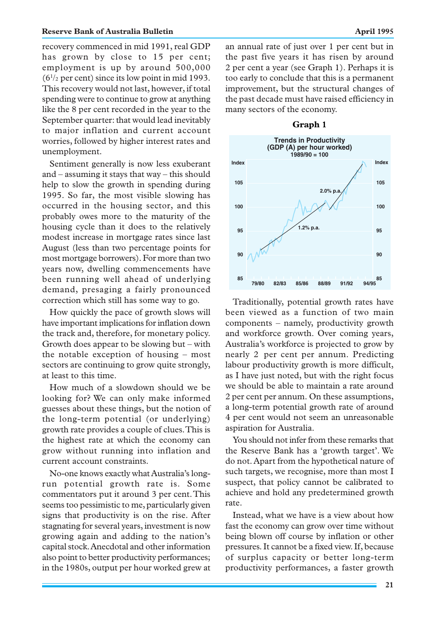recovery commenced in mid 1991, real GDP has grown by close to 15 per cent; employment is up by around 500,000 (61 /2 per cent) since its low point in mid 1993. This recovery would not last, however, if total spending were to continue to grow at anything like the 8 per cent recorded in the year to the September quarter: that would lead inevitably to major inflation and current account worries, followed by higher interest rates and unemployment.

Sentiment generally is now less exuberant and – assuming it stays that way – this should help to slow the growth in spending during 1995. So far, the most visible slowing has occurred in the housing sector, and this probably owes more to the maturity of the housing cycle than it does to the relatively modest increase in mortgage rates since last August (less than two percentage points for most mortgage borrowers). For more than two years now, dwelling commencements have been running well ahead of underlying demand, presaging a fairly pronounced correction which still has some way to go.

How quickly the pace of growth slows will have important implications for inflation down the track and, therefore, for monetary policy. Growth does appear to be slowing but – with the notable exception of housing – most sectors are continuing to grow quite strongly, at least to this time.

How much of a slowdown should we be looking for? We can only make informed guesses about these things, but the notion of the long-term potential (or underlying) growth rate provides a couple of clues. This is the highest rate at which the economy can grow without running into inflation and current account constraints.

No-one knows exactly what Australia's longrun potential growth rate is. Some commentators put it around 3 per cent. This seems too pessimistic to me, particularly given signs that productivity is on the rise. After stagnating for several years, investment is now growing again and adding to the nation's capital stock. Anecdotal and other information also point to better productivity performances; in the 1980s, output per hour worked grew at an annual rate of just over 1 per cent but in the past five years it has risen by around 2 per cent a year (see Graph 1). Perhaps it is too early to conclude that this is a permanent improvement, but the structural changes of the past decade must have raised efficiency in many sectors of the economy.



Traditionally, potential growth rates have been viewed as a function of two main components – namely, productivity growth and workforce growth. Over coming years, Australia's workforce is projected to grow by nearly 2 per cent per annum. Predicting labour productivity growth is more difficult, as I have just noted, but with the right focus we should be able to maintain a rate around 2 per cent per annum. On these assumptions, a long-term potential growth rate of around 4 per cent would not seem an unreasonable aspiration for Australia.

You should not infer from these remarks that the Reserve Bank has a 'growth target'. We do not. Apart from the hypothetical nature of such targets, we recognise, more than most I suspect, that policy cannot be calibrated to achieve and hold any predetermined growth rate.

Instead, what we have is a view about how fast the economy can grow over time without being blown off course by inflation or other pressures. It cannot be a fixed view. If, because of surplus capacity or better long-term productivity performances, a faster growth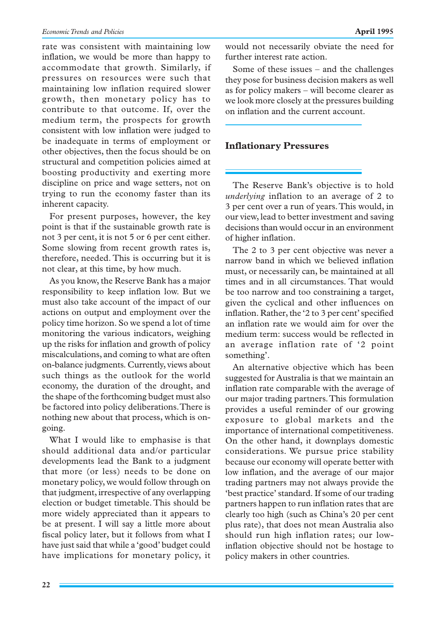rate was consistent with maintaining low inflation, we would be more than happy to accommodate that growth. Similarly, if pressures on resources were such that maintaining low inflation required slower growth, then monetary policy has to contribute to that outcome. If, over the medium term, the prospects for growth consistent with low inflation were judged to be inadequate in terms of employment or other objectives, then the focus should be on structural and competition policies aimed at boosting productivity and exerting more discipline on price and wage setters, not on trying to run the economy faster than its inherent capacity.

For present purposes, however, the key point is that if the sustainable growth rate is not 3 per cent, it is not 5 or 6 per cent either. Some slowing from recent growth rates is, therefore, needed. This is occurring but it is not clear, at this time, by how much.

As you know, the Reserve Bank has a major responsibility to keep inflation low. But we must also take account of the impact of our actions on output and employment over the policy time horizon. So we spend a lot of time monitoring the various indicators, weighing up the risks for inflation and growth of policy miscalculations, and coming to what are often on-balance judgments. Currently, views about such things as the outlook for the world economy, the duration of the drought, and the shape of the forthcoming budget must also be factored into policy deliberations. There is nothing new about that process, which is ongoing.

What I would like to emphasise is that should additional data and/or particular developments lead the Bank to a judgment that more (or less) needs to be done on monetary policy, we would follow through on that judgment, irrespective of any overlapping election or budget timetable. This should be more widely appreciated than it appears to be at present. I will say a little more about fiscal policy later, but it follows from what I have just said that while a 'good' budget could have implications for monetary policy, it would not necessarily obviate the need for further interest rate action.

Some of these issues – and the challenges they pose for business decision makers as well as for policy makers – will become clearer as we look more closely at the pressures building on inflation and the current account.

### **Inflationary Pressures**

The Reserve Bank's objective is to hold *underlying* inflation to an average of 2 to 3 per cent over a run of years. This would, in our view, lead to better investment and saving decisions than would occur in an environment of higher inflation.

The 2 to 3 per cent objective was never a narrow band in which we believed inflation must, or necessarily can, be maintained at all times and in all circumstances. That would be too narrow and too constraining a target, given the cyclical and other influences on inflation. Rather, the '2 to 3 per cent' specified an inflation rate we would aim for over the medium term: success would be reflected in an average inflation rate of '2 point something'.

An alternative objective which has been suggested for Australia is that we maintain an inflation rate comparable with the average of our major trading partners. This formulation provides a useful reminder of our growing exposure to global markets and the importance of international competitiveness. On the other hand, it downplays domestic considerations. We pursue price stability because our economy will operate better with low inflation, and the average of our major trading partners may not always provide the 'best practice' standard. If some of our trading partners happen to run inflation rates that are clearly too high (such as China's 20 per cent plus rate), that does not mean Australia also should run high inflation rates; our lowinflation objective should not be hostage to policy makers in other countries.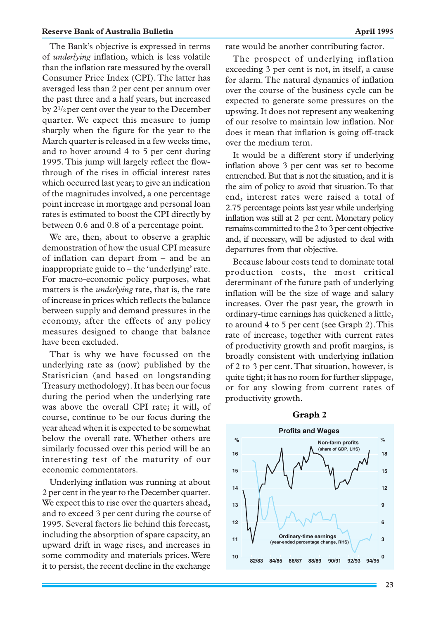The Bank's objective is expressed in terms of *underlying* inflation, which is less volatile than the inflation rate measured by the overall Consumer Price Index (CPI). The latter has averaged less than 2 per cent per annum over the past three and a half years, but increased by 21 /2 per cent over the year to the December quarter. We expect this measure to jump sharply when the figure for the year to the March quarter is released in a few weeks time, and to hover around 4 to 5 per cent during 1995. This jump will largely reflect the flowthrough of the rises in official interest rates which occurred last year; to give an indication of the magnitudes involved, a one percentage point increase in mortgage and personal loan rates is estimated to boost the CPI directly by between 0.6 and 0.8 of a percentage point.

We are, then, about to observe a graphic demonstration of how the usual CPI measure of inflation can depart from – and be an inappropriate guide to – the 'underlying' rate. For macro-economic policy purposes, what matters is the *underlying* rate, that is, the rate of increase in prices which reflects the balance between supply and demand pressures in the economy, after the effects of any policy measures designed to change that balance have been excluded.

That is why we have focussed on the underlying rate as (now) published by the Statistician (and based on longstanding Treasury methodology). It has been our focus during the period when the underlying rate was above the overall CPI rate; it will, of course, continue to be our focus during the year ahead when it is expected to be somewhat below the overall rate. Whether others are similarly focussed over this period will be an interesting test of the maturity of our economic commentators.

Underlying inflation was running at about 2 per cent in the year to the December quarter. We expect this to rise over the quarters ahead, and to exceed 3 per cent during the course of 1995. Several factors lie behind this forecast, including the absorption of spare capacity, an upward drift in wage rises, and increases in some commodity and materials prices. Were it to persist, the recent decline in the exchange rate would be another contributing factor.

The prospect of underlying inflation exceeding 3 per cent is not, in itself, a cause for alarm. The natural dynamics of inflation over the course of the business cycle can be expected to generate some pressures on the upswing. It does not represent any weakening of our resolve to maintain low inflation. Nor does it mean that inflation is going off-track over the medium term.

It would be a different story if underlying inflation above 3 per cent was set to become entrenched. But that is not the situation, and it is the aim of policy to avoid that situation. To that end, interest rates were raised a total of 2.75 percentage points last year while underlying inflation was still at 2 per cent. Monetary policy remains committed to the 2 to 3 per cent objective and, if necessary, will be adjusted to deal with departures from that objective.

Because labour costs tend to dominate total production costs, the most critical determinant of the future path of underlying inflation will be the size of wage and salary increases. Over the past year, the growth in ordinary-time earnings has quickened a little, to around 4 to 5 per cent (see Graph 2). This rate of increase, together with current rates of productivity growth and profit margins, is broadly consistent with underlying inflation of 2 to 3 per cent. That situation, however, is quite tight; it has no room for further slippage, or for any slowing from current rates of productivity growth.



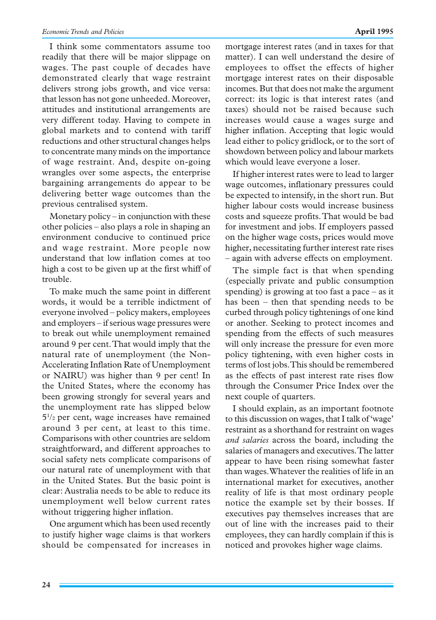I think some commentators assume too readily that there will be major slippage on wages. The past couple of decades have demonstrated clearly that wage restraint delivers strong jobs growth, and vice versa: that lesson has not gone unheeded. Moreover, attitudes and institutional arrangements are very different today. Having to compete in global markets and to contend with tariff reductions and other structural changes helps to concentrate many minds on the importance of wage restraint. And, despite on-going wrangles over some aspects, the enterprise bargaining arrangements do appear to be delivering better wage outcomes than the previous centralised system.

Monetary policy – in conjunction with these other policies – also plays a role in shaping an environment conducive to continued price and wage restraint. More people now understand that low inflation comes at too high a cost to be given up at the first whiff of trouble.

To make much the same point in different words, it would be a terrible indictment of everyone involved – policy makers, employees and employers – if serious wage pressures were to break out while unemployment remained around 9 per cent. That would imply that the natural rate of unemployment (the Non-Accelerating Inflation Rate of Unemployment or NAIRU) was higher than 9 per cent! In the United States, where the economy has been growing strongly for several years and the unemployment rate has slipped below 51 /2 per cent, wage increases have remained around 3 per cent, at least to this time. Comparisons with other countries are seldom straightforward, and different approaches to social safety nets complicate comparisons of our natural rate of unemployment with that in the United States. But the basic point is clear: Australia needs to be able to reduce its unemployment well below current rates without triggering higher inflation.

One argument which has been used recently to justify higher wage claims is that workers should be compensated for increases in mortgage interest rates (and in taxes for that matter). I can well understand the desire of employees to offset the effects of higher mortgage interest rates on their disposable incomes. But that does not make the argument correct: its logic is that interest rates (and taxes) should not be raised because such increases would cause a wages surge and higher inflation. Accepting that logic would lead either to policy gridlock, or to the sort of showdown between policy and labour markets which would leave everyone a loser.

If higher interest rates were to lead to larger wage outcomes, inflationary pressures could be expected to intensify, in the short run. But higher labour costs would increase business costs and squeeze profits. That would be bad for investment and jobs. If employers passed on the higher wage costs, prices would move higher, necessitating further interest rate rises – again with adverse effects on employment.

The simple fact is that when spending (especially private and public consumption spending) is growing at too fast a pace – as it has been – then that spending needs to be curbed through policy tightenings of one kind or another. Seeking to protect incomes and spending from the effects of such measures will only increase the pressure for even more policy tightening, with even higher costs in terms of lost jobs. This should be remembered as the effects of past interest rate rises flow through the Consumer Price Index over the next couple of quarters.

I should explain, as an important footnote to this discussion on wages, that I talk of 'wage' restraint as a shorthand for restraint on wages *and salaries* across the board, including the salaries of managers and executives. The latter appear to have been rising somewhat faster than wages. Whatever the realities of life in an international market for executives, another reality of life is that most ordinary people notice the example set by their bosses. If executives pay themselves increases that are out of line with the increases paid to their employees, they can hardly complain if this is noticed and provokes higher wage claims.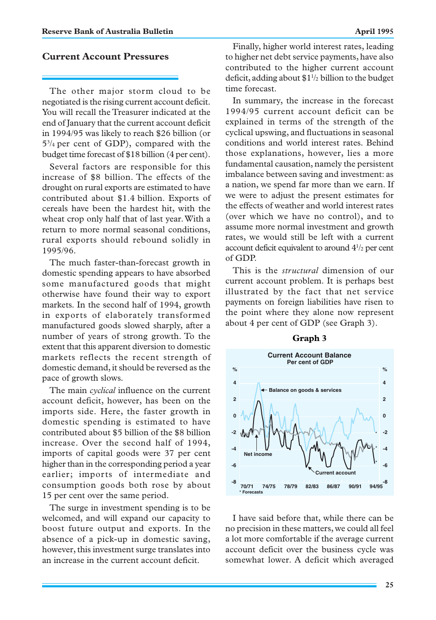### **Current Account Pressures**

The other major storm cloud to be negotiated is the rising current account deficit. You will recall the Treasurer indicated at the end of January that the current account deficit in 1994/95 was likely to reach \$26 billion (or 53 /4 per cent of GDP), compared with the budget time forecast of \$18 billion (4 per cent).

Several factors are responsible for this increase of \$8 billion. The effects of the drought on rural exports are estimated to have contributed about \$1.4 billion. Exports of cereals have been the hardest hit, with the wheat crop only half that of last year. With a return to more normal seasonal conditions, rural exports should rebound solidly in 1995/96.

The much faster-than-forecast growth in domestic spending appears to have absorbed some manufactured goods that might otherwise have found their way to export markets. In the second half of 1994, growth in exports of elaborately transformed manufactured goods slowed sharply, after a number of years of strong growth. To the extent that this apparent diversion to domestic markets reflects the recent strength of domestic demand, it should be reversed as the pace of growth slows.

The main *cyclical* influence on the current account deficit, however, has been on the imports side. Here, the faster growth in domestic spending is estimated to have contributed about \$5 billion of the \$8 billion increase. Over the second half of 1994, imports of capital goods were 37 per cent higher than in the corresponding period a year earlier; imports of intermediate and consumption goods both rose by about 15 per cent over the same period.

The surge in investment spending is to be welcomed, and will expand our capacity to boost future output and exports. In the absence of a pick-up in domestic saving, however, this investment surge translates into an increase in the current account deficit.

Finally, higher world interest rates, leading to higher net debt service payments, have also contributed to the higher current account deficit, adding about \$11 /2 billion to the budget time forecast.

In summary, the increase in the forecast 1994/95 current account deficit can be explained in terms of the strength of the cyclical upswing, and fluctuations in seasonal conditions and world interest rates. Behind those explanations, however, lies a more fundamental causation, namely the persistent imbalance between saving and investment: as a nation, we spend far more than we earn. If we were to adjust the present estimates for the effects of weather and world interest rates (over which we have no control), and to assume more normal investment and growth rates, we would still be left with a current account deficit equivalent to around 41 /2 per cent of GDP.

This is the *structural* dimension of our current account problem. It is perhaps best illustrated by the fact that net service payments on foreign liabilities have risen to the point where they alone now represent about 4 per cent of GDP (see Graph 3).



I have said before that, while there can be no precision in these matters, we could all feel a lot more comfortable if the average current account deficit over the business cycle was somewhat lower. A deficit which averaged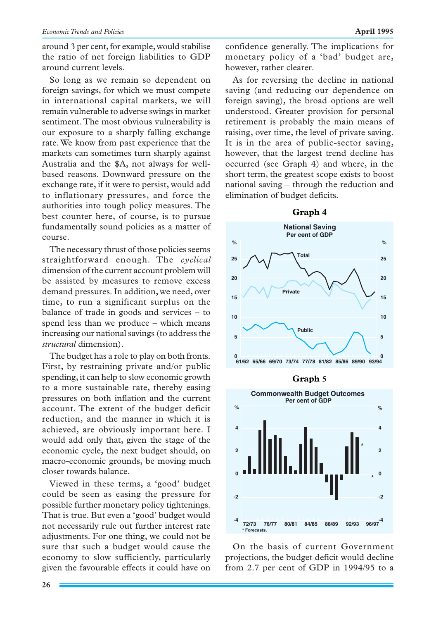around 3 per cent, for example, would stabilise the ratio of net foreign liabilities to GDP around current levels.

So long as we remain so dependent on foreign savings, for which we must compete in international capital markets, we will remain vulnerable to adverse swings in market sentiment. The most obvious vulnerability is our exposure to a sharply falling exchange rate. We know from past experience that the markets can sometimes turn sharply against Australia and the \$A, not always for wellbased reasons. Downward pressure on the exchange rate, if it were to persist, would add to inflationary pressures, and force the authorities into tough policy measures. The best counter here, of course, is to pursue fundamentally sound policies as a matter of course.

The necessary thrust of those policies seems straightforward enough. The *cyclical* dimension of the current account problem will be assisted by measures to remove excess demand pressures. In addition, we need, over time, to run a significant surplus on the balance of trade in goods and services – to spend less than we produce – which means increasing our national savings (to address the *structural* dimension).

The budget has a role to play on both fronts. First, by restraining private and/or public spending, it can help to slow economic growth to a more sustainable rate, thereby easing pressures on both inflation and the current account. The extent of the budget deficit reduction, and the manner in which it is achieved, are obviously important here. I would add only that, given the stage of the economic cycle, the next budget should, on macro-economic grounds, be moving much closer towards balance.

Viewed in these terms, a 'good' budget could be seen as easing the pressure for possible further monetary policy tightenings. That is true. But even a 'good' budget would not necessarily rule out further interest rate adjustments. For one thing, we could not be sure that such a budget would cause the economy to slow sufficiently, particularly given the favourable effects it could have on confidence generally. The implications for monetary policy of a 'bad' budget are, however, rather clearer.

As for reversing the decline in national saving (and reducing our dependence on foreign saving), the broad options are well understood. Greater provision for personal retirement is probably the main means of raising, over time, the level of private saving. It is in the area of public-sector saving, however, that the largest trend decline has occurred (see Graph 4) and where, in the short term, the greatest scope exists to boost national saving – through the reduction and elimination of budget deficits.









On the basis of current Government projections, the budget deficit would decline from 2.7 per cent of GDP in 1994/95 to a